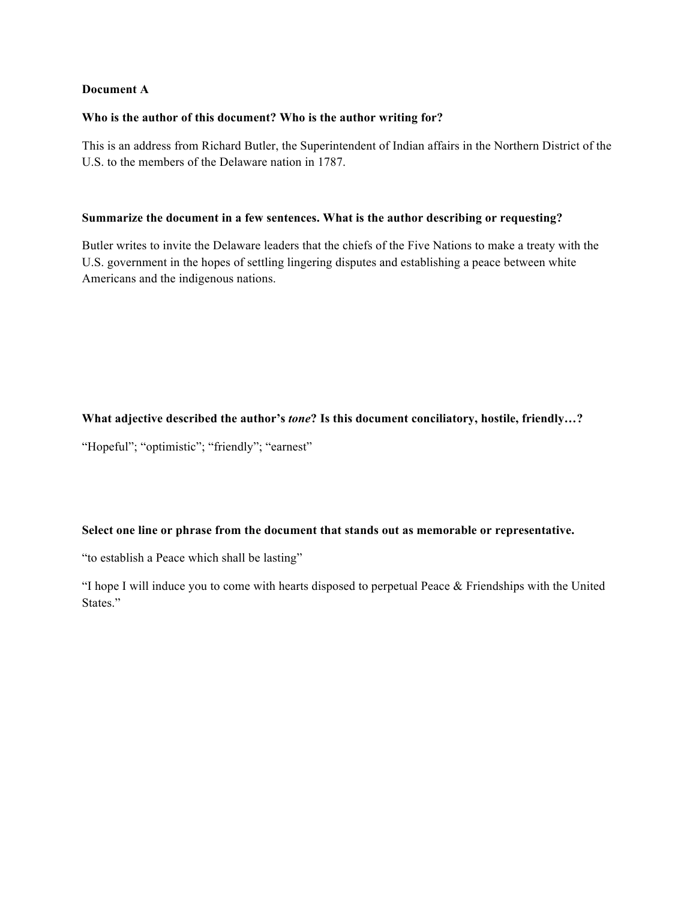# **Document A**

# **Who is the author of this document? Who is the author writing for?**

This is an address from Richard Butler, the Superintendent of Indian affairs in the Northern District of the U.S. to the members of the Delaware nation in 1787.

## **Summarize the document in a few sentences. What is the author describing or requesting?**

Butler writes to invite the Delaware leaders that the chiefs of the Five Nations to make a treaty with the U.S. government in the hopes of settling lingering disputes and establishing a peace between white Americans and the indigenous nations.

# **What adjective described the author's** *tone***? Is this document conciliatory, hostile, friendly…?**

"Hopeful"; "optimistic"; "friendly"; "earnest"

#### **Select one line or phrase from the document that stands out as memorable or representative.**

"to establish a Peace which shall be lasting"

"I hope I will induce you to come with hearts disposed to perpetual Peace & Friendships with the United States."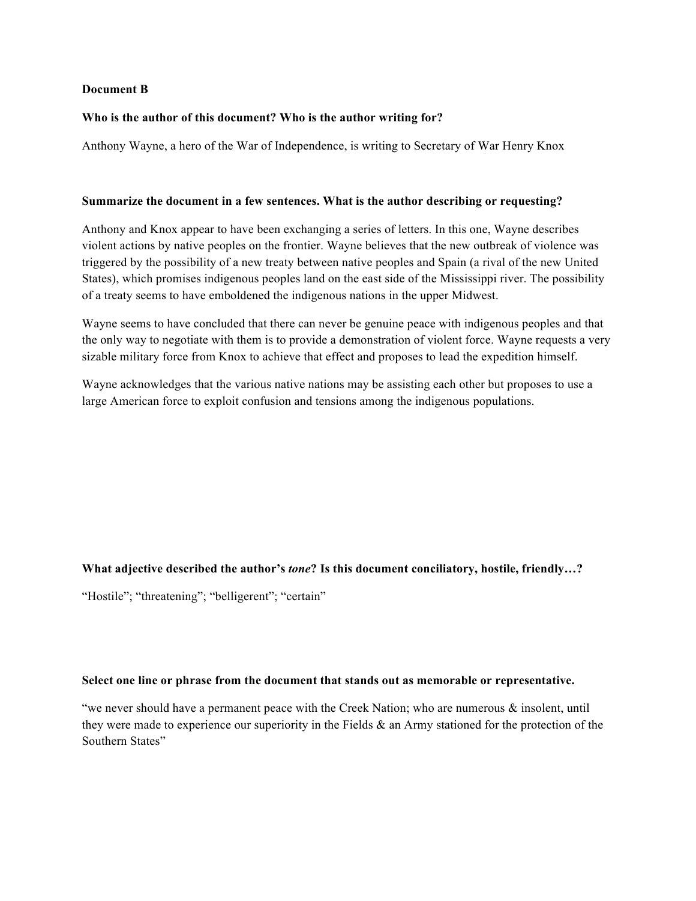# **Document B**

# **Who is the author of this document? Who is the author writing for?**

Anthony Wayne, a hero of the War of Independence, is writing to Secretary of War Henry Knox

#### **Summarize the document in a few sentences. What is the author describing or requesting?**

Anthony and Knox appear to have been exchanging a series of letters. In this one, Wayne describes violent actions by native peoples on the frontier. Wayne believes that the new outbreak of violence was triggered by the possibility of a new treaty between native peoples and Spain (a rival of the new United States), which promises indigenous peoples land on the east side of the Mississippi river. The possibility of a treaty seems to have emboldened the indigenous nations in the upper Midwest.

Wayne seems to have concluded that there can never be genuine peace with indigenous peoples and that the only way to negotiate with them is to provide a demonstration of violent force. Wayne requests a very sizable military force from Knox to achieve that effect and proposes to lead the expedition himself.

Wayne acknowledges that the various native nations may be assisting each other but proposes to use a large American force to exploit confusion and tensions among the indigenous populations.

#### **What adjective described the author's** *tone***? Is this document conciliatory, hostile, friendly…?**

"Hostile"; "threatening"; "belligerent"; "certain"

## **Select one line or phrase from the document that stands out as memorable or representative.**

"we never should have a permanent peace with the Creek Nation; who are numerous & insolent, until they were made to experience our superiority in the Fields & an Army stationed for the protection of the Southern States"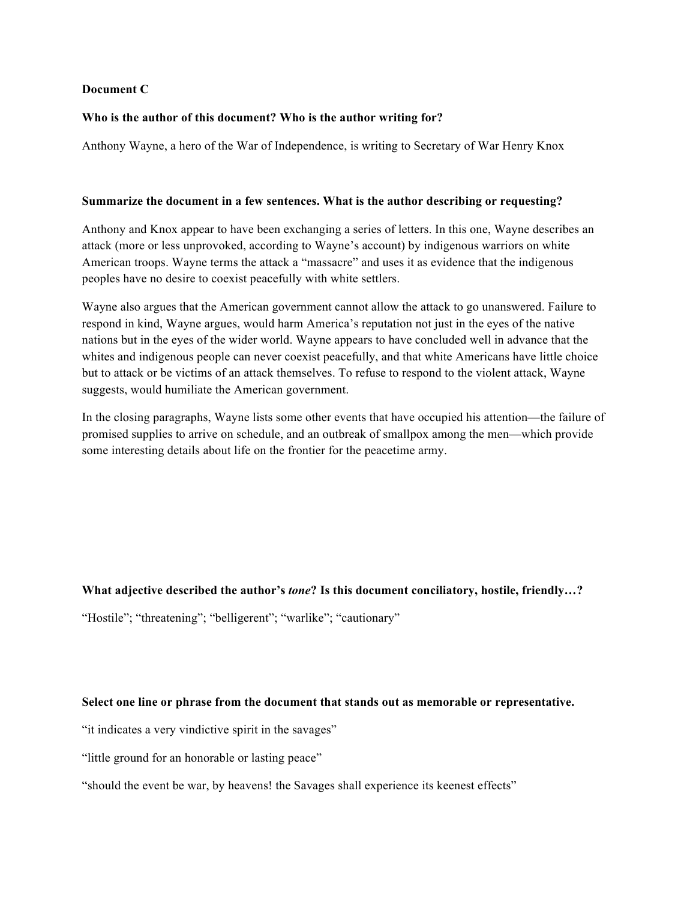# **Document C**

# **Who is the author of this document? Who is the author writing for?**

Anthony Wayne, a hero of the War of Independence, is writing to Secretary of War Henry Knox

#### **Summarize the document in a few sentences. What is the author describing or requesting?**

Anthony and Knox appear to have been exchanging a series of letters. In this one, Wayne describes an attack (more or less unprovoked, according to Wayne's account) by indigenous warriors on white American troops. Wayne terms the attack a "massacre" and uses it as evidence that the indigenous peoples have no desire to coexist peacefully with white settlers.

Wayne also argues that the American government cannot allow the attack to go unanswered. Failure to respond in kind, Wayne argues, would harm America's reputation not just in the eyes of the native nations but in the eyes of the wider world. Wayne appears to have concluded well in advance that the whites and indigenous people can never coexist peacefully, and that white Americans have little choice but to attack or be victims of an attack themselves. To refuse to respond to the violent attack, Wayne suggests, would humiliate the American government.

In the closing paragraphs, Wayne lists some other events that have occupied his attention—the failure of promised supplies to arrive on schedule, and an outbreak of smallpox among the men—which provide some interesting details about life on the frontier for the peacetime army.

# **What adjective described the author's** *tone***? Is this document conciliatory, hostile, friendly…?**

"Hostile"; "threatening"; "belligerent"; "warlike"; "cautionary"

#### **Select one line or phrase from the document that stands out as memorable or representative.**

"it indicates a very vindictive spirit in the savages"

"little ground for an honorable or lasting peace"

"should the event be war, by heavens! the Savages shall experience its keenest effects"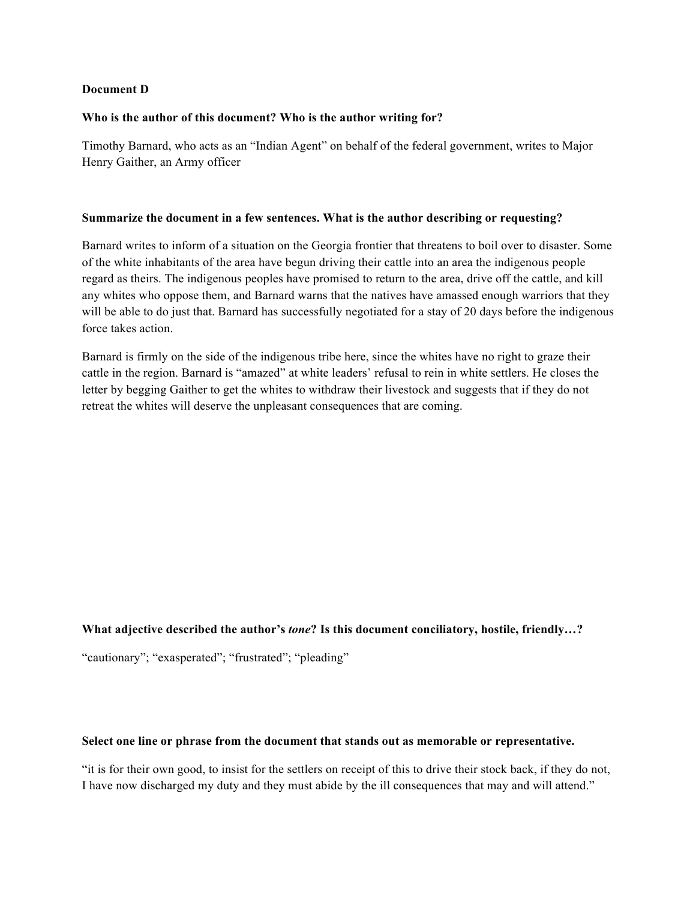# **Document D**

# **Who is the author of this document? Who is the author writing for?**

Timothy Barnard, who acts as an "Indian Agent" on behalf of the federal government, writes to Major Henry Gaither, an Army officer

#### **Summarize the document in a few sentences. What is the author describing or requesting?**

Barnard writes to inform of a situation on the Georgia frontier that threatens to boil over to disaster. Some of the white inhabitants of the area have begun driving their cattle into an area the indigenous people regard as theirs. The indigenous peoples have promised to return to the area, drive off the cattle, and kill any whites who oppose them, and Barnard warns that the natives have amassed enough warriors that they will be able to do just that. Barnard has successfully negotiated for a stay of 20 days before the indigenous force takes action.

Barnard is firmly on the side of the indigenous tribe here, since the whites have no right to graze their cattle in the region. Barnard is "amazed" at white leaders' refusal to rein in white settlers. He closes the letter by begging Gaither to get the whites to withdraw their livestock and suggests that if they do not retreat the whites will deserve the unpleasant consequences that are coming.

# **What adjective described the author's** *tone***? Is this document conciliatory, hostile, friendly…?**

"cautionary"; "exasperated"; "frustrated"; "pleading"

#### **Select one line or phrase from the document that stands out as memorable or representative.**

"it is for their own good, to insist for the settlers on receipt of this to drive their stock back, if they do not, I have now discharged my duty and they must abide by the ill consequences that may and will attend."